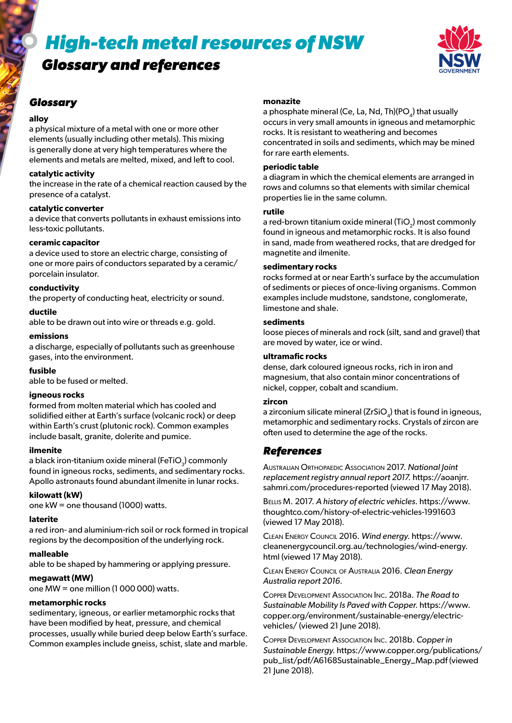# *High-tech metal resources of NSW*

# *Glossary and references*



### *Glossary*

#### **alloy**

a physical mixture of a metal with one or more other elements (usually including other metals). This mixing is generally done at very high temperatures where the elements and metals are melted, mixed, and left to cool.

#### **catalytic activity**

the increase in the rate of a chemical reaction caused by the presence of a catalyst.

#### **catalytic converter**

a device that converts pollutants in exhaust emissions into less-toxic pollutants.

#### **ceramic capacitor**

a device used to store an electric charge, consisting of one or more pairs of conductors separated by a ceramic/ porcelain insulator.

#### **conductivity**

the property of conducting heat, electricity or sound.

#### **ductile**

able to be drawn out into wire or threads e.g. gold.

#### **emissions**

a discharge, especially of pollutants such as greenhouse gases, into the environment.

#### **fusible**

able to be fused or melted.

#### **igneous rocks**

formed from molten material which has cooled and solidified either at Earth's surface (volcanic rock) or deep within Earth's crust (plutonic rock). Common examples include basalt, granite, dolerite and pumice.

#### **ilmenite**

a black iron-titanium oxide mineral (FeTiO<sub>2</sub>) commonly found in igneous rocks, sediments, and sedimentary rocks. Apollo astronauts found abundant ilmenite in lunar rocks.

#### **kilowatt (kW)**

one kW = one thousand (1000) watts.

#### **laterite**

a red iron- and aluminium-rich soil or rock formed in tropical regions by the decomposition of the underlying rock.

#### **malleable**

able to be shaped by hammering or applying pressure.

#### **megawatt (MW)**

one MW = one million (1 000 000) watts.

#### **metamorphic rocks**

sedimentary, igneous, or earlier metamorphic rocks that have been modified by heat, pressure, and chemical processes, usually while buried deep below Earth's surface. Common examples include gneiss, schist, slate and marble.

#### **monazite**

a phosphate mineral (Ce, La, Nd, Th)( $PO<sub>a</sub>$ ) that usually occurs in very small amounts in igneous and metamorphic rocks. It is resistant to weathering and becomes concentrated in soils and sediments, which may be mined for rare earth elements.

#### **periodic table**

a diagram in which the chemical elements are arranged in rows and columns so that elements with similar chemical properties lie in the same column.

#### **rutile**

a red-brown titanium oxide mineral (TiO<sub>2</sub>) most commonly found in igneous and metamorphic rocks. It is also found in sand, made from weathered rocks, that are dredged for magnetite and ilmenite.

#### **sedimentary rocks**

rocks formed at or near Earth's surface by the accumulation of sediments or pieces of once-living organisms. Common examples include mudstone, sandstone, conglomerate, limestone and shale.

#### **sediments**

loose pieces of minerals and rock (silt, sand and gravel) that are moved by water, ice or wind.

#### **ultramafic rocks**

dense, dark coloured igneous rocks, rich in iron and magnesium, that also contain minor concentrations of nickel, copper, cobalt and scandium.

#### **zircon**

a zirconium silicate mineral  $(ZrSiO<sub>A</sub>)$  that is found in igneous, metamorphic and sedimentary rocks. Crystals of zircon are often used to determine the age of the rocks.

# *References*

Australian Orthopaedic Association 2017. *National Joint replacement registry annual report 2017.* https://aoanjrr. sahmri.com/procedures-reported (viewed 17 May 2018).

Bellis M. 2017. *A history of electric vehicles.* https://www. thoughtco.com/history-of-electric-vehicles-1991603 (viewed 17 May 2018).

Clean Energy Council 2016. *Wind energy.* https://www. cleanenergycouncil.org.au/technologies/wind-energy. html (viewed 17 May 2018).

Clean Energy Council of Australia 2016. *Clean Energy Australia report 2016.*

Copper Development Association Inc. 2018a. *The Road to Sustainable Mobility Is Paved with Copper.* https://www. copper.org/environment/sustainable-energy/electricvehicles/ (viewed 21 June 2018).

Copper Development Association Inc. 2018b. *Copper in Sustainable Energy.* https://www.copper.org/publications/ pub\_list/pdf/A6168Sustainable\_Energy\_Map.pdf (viewed 21 June 2018).